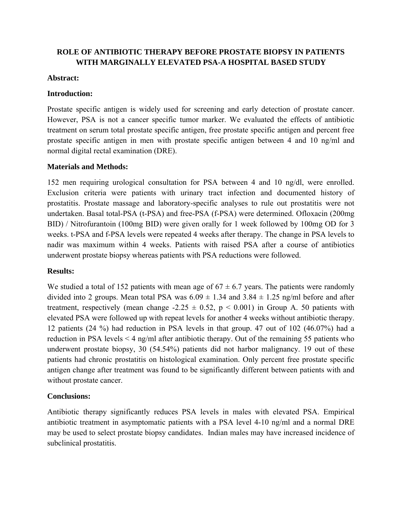# **ROLE OF ANTIBIOTIC THERAPY BEFORE PROSTATE BIOPSY IN PATIENTS WITH MARGINALLY ELEVATED PSA-A HOSPITAL BASED STUDY**

#### **Abstract:**

## **Introduction:**

Prostate specific antigen is widely used for screening and early detection of prostate cancer. However, PSA is not a cancer specific tumor marker. We evaluated the effects of antibiotic treatment on serum total prostate specific antigen, free prostate specific antigen and percent free prostate specific antigen in men with prostate specific antigen between 4 and 10 ng/ml and normal digital rectal examination (DRE).

#### **Materials and Methods:**

152 men requiring urological consultation for PSA between 4 and 10 ng/dl, were enrolled. Exclusion criteria were patients with urinary tract infection and documented history of prostatitis. Prostate massage and laboratory-specific analyses to rule out prostatitis were not undertaken. Basal total-PSA (t-PSA) and free-PSA (f-PSA) were determined. Ofloxacin (200mg BID) / Nitrofurantoin (100mg BID) were given orally for 1 week followed by 100mg OD for 3 weeks. t-PSA and f-PSA levels were repeated 4 weeks after therapy. The change in PSA levels to nadir was maximum within 4 weeks. Patients with raised PSA after a course of antibiotics underwent prostate biopsy whereas patients with PSA reductions were followed.

## **Results:**

We studied a total of 152 patients with mean age of  $67 \pm 6.7$  years. The patients were randomly divided into 2 groups. Mean total PSA was  $6.09 \pm 1.34$  and  $3.84 \pm 1.25$  ng/ml before and after treatment, respectively (mean change  $-2.25 \pm 0.52$ ,  $p \le 0.001$ ) in Group A. 50 patients with elevated PSA were followed up with repeat levels for another 4 weeks without antibiotic therapy. 12 patients (24 %) had reduction in PSA levels in that group. 47 out of 102 (46.07%) had a reduction in PSA levels < 4 ng/ml after antibiotic therapy. Out of the remaining 55 patients who underwent prostate biopsy, 30 (54.54%) patients did not harbor malignancy. 19 out of these patients had chronic prostatitis on histological examination. Only percent free prostate specific antigen change after treatment was found to be significantly different between patients with and without prostate cancer.

## **Conclusions:**

Antibiotic therapy significantly reduces PSA levels in males with elevated PSA. Empirical antibiotic treatment in asymptomatic patients with a PSA level 4-10 ng/ml and a normal DRE may be used to select prostate biopsy candidates. Indian males may have increased incidence of subclinical prostatitis.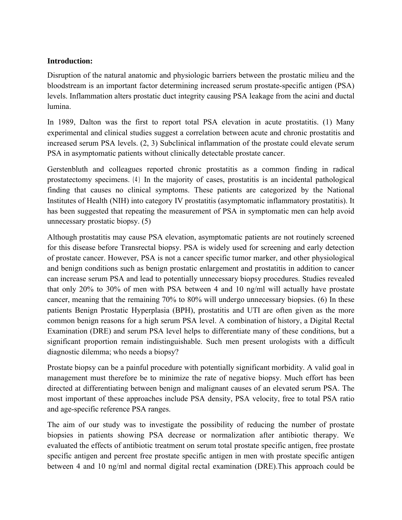## **Introduction:**

Disruption of the natural anatomic and physiologic barriers between the prostatic milieu and the bloodstream is an important factor determining increased serum prostate-specific antigen (PSA) levels. Inflammation alters prostatic duct integrity causing PSA leakage from the acini and ductal lumina.

In 1989, Dalton was the first to report total PSA elevation in acute prostatitis. (1) Many experimental and clinical studies suggest a correlation between acute and chronic prostatitis and increased serum PSA levels. (2, 3) Subclinical inflammation of the prostate could elevate serum PSA in asymptomatic patients without clinically detectable prostate cancer.

Gerstenbluth and colleagues reported chronic prostatitis as a common finding in radical prostatectomy specimens. (4) In the majority of cases, prostatitis is an incidental pathological finding that causes no clinical symptoms. These patients are categorized by the National Institutes of Health (NIH) into category IV prostatitis (asymptomatic inflammatory prostatitis). It has been suggested that repeating the measurement of PSA in symptomatic men can help avoid unnecessary prostatic biopsy. (5)

Although prostatitis may cause PSA elevation, asymptomatic patients are not routinely screened for this disease before Transrectal biopsy. PSA is widely used for screening and early detection of prostate cancer. However, PSA is not a cancer specific tumor marker, and other physiological and benign conditions such as benign prostatic enlargement and prostatitis in addition to cancer can increase serum PSA and lead to potentially unnecessary biopsy procedures. Studies revealed that only 20% to 30% of men with PSA between 4 and 10 ng/ml will actually have prostate cancer, meaning that the remaining 70% to 80% will undergo unnecessary biopsies. (6) In these patients Benign Prostatic Hyperplasia (BPH), prostatitis and UTI are often given as the more common benign reasons for a high serum PSA level. A combination of history, a Digital Rectal Examination (DRE) and serum PSA level helps to differentiate many of these conditions, but a significant proportion remain indistinguishable. Such men present urologists with a difficult diagnostic dilemma; who needs a biopsy?

Prostate biopsy can be a painful procedure with potentially significant morbidity. A valid goal in management must therefore be to minimize the rate of negative biopsy. Much effort has been directed at differentiating between benign and malignant causes of an elevated serum PSA. The most important of these approaches include PSA density, PSA velocity, free to total PSA ratio and age-specific reference PSA ranges.

The aim of our study was to investigate the possibility of reducing the number of prostate biopsies in patients showing PSA decrease or normalization after antibiotic therapy. We evaluated the effects of antibiotic treatment on serum total prostate specific antigen, free prostate specific antigen and percent free prostate specific antigen in men with prostate specific antigen between 4 and 10 ng/ml and normal digital rectal examination (DRE).This approach could be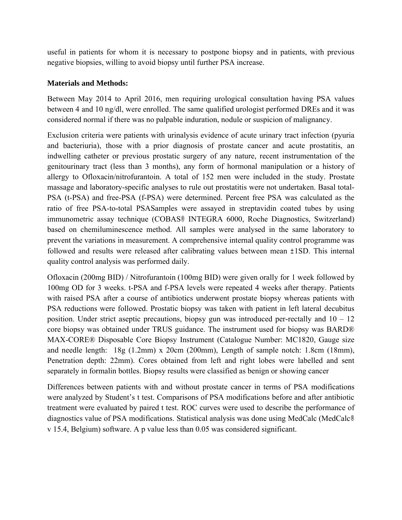useful in patients for whom it is necessary to postpone biopsy and in patients, with previous negative biopsies, willing to avoid biopsy until further PSA increase.

#### **Materials and Methods:**

Between May 2014 to April 2016, men requiring urological consultation having PSA values between 4 and 10 ng/dl, were enrolled. The same qualified urologist performed DREs and it was considered normal if there was no palpable induration, nodule or suspicion of malignancy.

Exclusion criteria were patients with urinalysis evidence of acute urinary tract infection (pyuria and bacteriuria), those with a prior diagnosis of prostate cancer and acute prostatitis, an indwelling catheter or previous prostatic surgery of any nature, recent instrumentation of the genitourinary tract (less than 3 months), any form of hormonal manipulation or a history of allergy to Ofloxacin/nitrofurantoin. A total of 152 men were included in the study. Prostate massage and laboratory-specific analyses to rule out prostatitis were not undertaken. Basal total-PSA (t-PSA) and free-PSA (f-PSA) were determined. Percent free PSA was calculated as the ratio of free PSA-to-total PSASamples were assayed in streptavidin coated tubes by using immunometric assay technique (COBAS® INTEGRA 6000, Roche Diagnostics, Switzerland) based on chemiluminescence method. All samples were analysed in the same laboratory to prevent the variations in measurement. A comprehensive internal quality control programme was followed and results were released after calibrating values between mean ±1SD. This internal quality control analysis was performed daily.

Ofloxacin (200mg BID) / Nitrofurantoin (100mg BID) were given orally for 1 week followed by 100mg OD for 3 weeks. t-PSA and f-PSA levels were repeated 4 weeks after therapy. Patients with raised PSA after a course of antibiotics underwent prostate biopsy whereas patients with PSA reductions were followed. Prostatic biopsy was taken with patient in left lateral decubitus position. Under strict aseptic precautions, biopsy gun was introduced per-rectally and  $10 - 12$ core biopsy was obtained under TRUS guidance. The instrument used for biopsy was BARD® MAX-CORE® Disposable Core Biopsy Instrument (Catalogue Number: MC1820, Gauge size and needle length: 18g (1.2mm) x 20cm (200mm), Length of sample notch: 1.8cm (18mm), Penetration depth: 22mm). Cores obtained from left and right lobes were labelled and sent separately in formalin bottles. Biopsy results were classified as benign or showing cancer

Differences between patients with and without prostate cancer in terms of PSA modifications were analyzed by Student's t test. Comparisons of PSA modifications before and after antibiotic treatment were evaluated by paired t test. ROC curves were used to describe the performance of diagnostics value of PSA modifications. Statistical analysis was done using MedCalc (MedCalc® v 15.4, Belgium) software. A p value less than 0.05 was considered significant.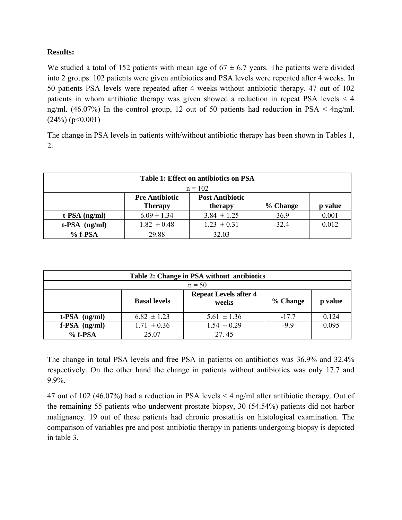## **Results:**

We studied a total of 152 patients with mean age of  $67 \pm 6.7$  years. The patients were divided into 2 groups. 102 patients were given antibiotics and PSA levels were repeated after 4 weeks. In 50 patients PSA levels were repeated after 4 weeks without antibiotic therapy. 47 out of 102 patients in whom antibiotic therapy was given showed a reduction in repeat PSA levels < 4 ng/ml. (46.07%) In the control group, 12 out of 50 patients had reduction in PSA < 4ng/ml.  $(24\%) (p<0.001)$ 

The change in PSA levels in patients with/without antibiotic therapy has been shown in Tables 1, 2.

| Table 1: Effect on antibiotics on PSA |                                         |                                   |          |       |  |  |  |  |  |
|---------------------------------------|-----------------------------------------|-----------------------------------|----------|-------|--|--|--|--|--|
| $n = 102$                             |                                         |                                   |          |       |  |  |  |  |  |
|                                       | <b>Pre Antibiotic</b><br><b>Therapy</b> | <b>Post Antibiotic</b><br>therapy | % Change | value |  |  |  |  |  |
| $t$ -PSA $(ng/ml)$                    | $6.09 \pm 1.34$                         | $3.84 \pm 1.25$                   | $-36.9$  | 0.001 |  |  |  |  |  |
| $t$ -PSA $(ng/ml)$                    | $1.82 \pm 0.48$                         | $1.23 \pm 0.31$                   | $-32.4$  | 0.012 |  |  |  |  |  |
| $%$ f-PSA                             | 29.88                                   | 32.03                             |          |       |  |  |  |  |  |

| Table 2: Change in PSA without antibiotics |                     |                                       |          |         |  |  |  |  |
|--------------------------------------------|---------------------|---------------------------------------|----------|---------|--|--|--|--|
| $n = 50$                                   |                     |                                       |          |         |  |  |  |  |
|                                            | <b>Basal levels</b> | <b>Repeat Levels after 4</b><br>weeks | % Change | p value |  |  |  |  |
| $t$ -PSA $(ng/ml)$                         | $6.82 \pm 1.23$     | $5.61 \pm 1.36$                       | $-17.7$  | 0.124   |  |  |  |  |
| $f-PSA$ (ng/ml)                            | $1.71 \pm 0.36$     | $1.54 \pm 0.29$                       | $-99$    | 0.095   |  |  |  |  |
| $%$ f-PSA                                  | 25.07               | 27.45                                 |          |         |  |  |  |  |

The change in total PSA levels and free PSA in patients on antibiotics was 36.9% and 32.4% respectively. On the other hand the change in patients without antibiotics was only 17.7 and 9.9%.

47 out of 102 (46.07%) had a reduction in PSA levels < 4 ng/ml after antibiotic therapy. Out of the remaining 55 patients who underwent prostate biopsy, 30 (54.54%) patients did not harbor malignancy. 19 out of these patients had chronic prostatitis on histological examination. The comparison of variables pre and post antibiotic therapy in patients undergoing biopsy is depicted in table 3.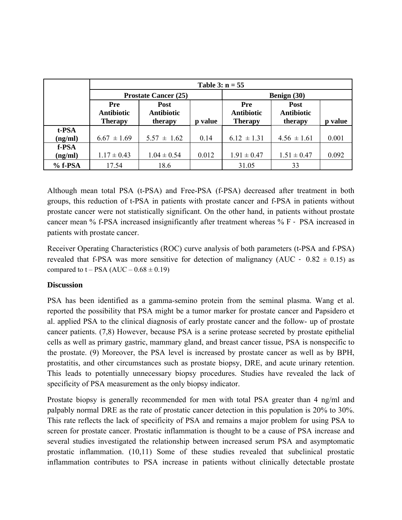|         | Table 3: $n = 55$                          |                                      |         |                                                   |                                             |         |  |  |
|---------|--------------------------------------------|--------------------------------------|---------|---------------------------------------------------|---------------------------------------------|---------|--|--|
|         | <b>Prostate Cancer (25)</b>                |                                      |         | Benign (30)                                       |                                             |         |  |  |
|         | Pre<br><b>Antibiotic</b><br><b>Therapy</b> | Post<br><b>Antibiotic</b><br>therapy | p value | <b>Pre</b><br><b>Antibiotic</b><br><b>Therapy</b> | <b>Post</b><br><b>Antibiotic</b><br>therapy | p value |  |  |
| t-PSA   |                                            |                                      |         |                                                   |                                             |         |  |  |
| (ng/ml) | $6.67 \pm 1.69$                            | $5.57 \pm 1.62$                      | 0.14    | $6.12 \pm 1.31$                                   | $4.56 \pm 1.61$                             | 0.001   |  |  |
| f-PSA   |                                            |                                      |         |                                                   |                                             |         |  |  |
| (ng/ml) | $1.17 \pm 0.43$                            | $1.04 \pm 0.54$                      | 0.012   | $1.91 \pm 0.47$                                   | $1.51 \pm 0.47$                             | 0.092   |  |  |
| % f-PSA | 17.54                                      | 18.6                                 |         | 31.05                                             | 33                                          |         |  |  |

Although mean total PSA (t-PSA) and Free-PSA (f-PSA) decreased after treatment in both groups, this reduction of t-PSA in patients with prostate cancer and f-PSA in patients without prostate cancer were not statistically significant. On the other hand, in patients without prostate cancer mean % f-PSA increased insignificantly after treatment whereas % F – PSA increased in patients with prostate cancer.

Receiver Operating Characteristics (ROC) curve analysis of both parameters (t-PSA and f-PSA) revealed that f-PSA was more sensitive for detection of malignancy (AUC –  $0.82 \pm 0.15$ ) as compared to  $t - PSA (AUC - 0.68 \pm 0.19)$ 

## **Discussion**

PSA has been identified as a gamma-semino protein from the seminal plasma. Wang et al. reported the possibility that PSA might be a tumor marker for prostate cancer and Papsidero et al. applied PSA to the clinical diagnosis of early prostate cancer and the follow- up of prostate cancer patients. (7,8) However, because PSA is a serine protease secreted by prostate epithelial cells as well as primary gastric, mammary gland, and breast cancer tissue, PSA is nonspecific to the prostate. (9) Moreover, the PSA level is increased by prostate cancer as well as by BPH, prostatitis, and other circumstances such as prostate biopsy, DRE, and acute urinary retention. This leads to potentially unnecessary biopsy procedures. Studies have revealed the lack of specificity of PSA measurement as the only biopsy indicator.

Prostate biopsy is generally recommended for men with total PSA greater than 4 ng/ml and palpably normal DRE as the rate of prostatic cancer detection in this population is 20% to 30%. This rate reflects the lack of specificity of PSA and remains a major problem for using PSA to screen for prostate cancer. Prostatic inflammation is thought to be a cause of PSA increase and several studies investigated the relationship between increased serum PSA and asymptomatic prostatic inflammation. (10,11) Some of these studies revealed that subclinical prostatic inflammation contributes to PSA increase in patients without clinically detectable prostate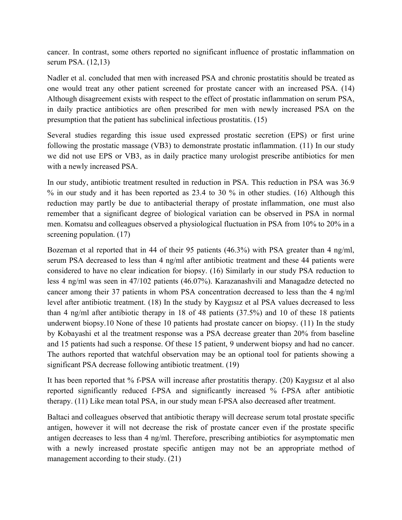cancer. In contrast, some others reported no significant influence of prostatic inflammation on serum PSA. (12,13)

Nadler et al. concluded that men with increased PSA and chronic prostatitis should be treated as one would treat any other patient screened for prostate cancer with an increased PSA. (14) Although disagreement exists with respect to the effect of prostatic inflammation on serum PSA, in daily practice antibiotics are often prescribed for men with newly increased PSA on the presumption that the patient has subclinical infectious prostatitis. (15)

Several studies regarding this issue used expressed prostatic secretion (EPS) or first urine following the prostatic massage (VB3) to demonstrate prostatic inflammation. (11) In our study we did not use EPS or VB3, as in daily practice many urologist prescribe antibiotics for men with a newly increased PSA.

In our study, antibiotic treatment resulted in reduction in PSA. This reduction in PSA was 36.9 % in our study and it has been reported as 23.4 to 30 % in other studies. (16) Although this reduction may partly be due to antibacterial therapy of prostate inflammation, one must also remember that a significant degree of biological variation can be observed in PSA in normal men. Komatsu and colleagues observed a physiological fluctuation in PSA from 10% to 20% in a screening population. (17)

Bozeman et al reported that in 44 of their 95 patients (46.3%) with PSA greater than 4 ng/ml, serum PSA decreased to less than 4 ng/ml after antibiotic treatment and these 44 patients were considered to have no clear indication for biopsy. (16) Similarly in our study PSA reduction to less 4 ng/ml was seen in 47/102 patients (46.07%). Karazanashvili and Managadze detected no cancer among their 37 patients in whom PSA concentration decreased to less than the 4 ng/ml level after antibiotic treatment. (18) In the study by Kaygısız et al PSA values decreased to less than 4 ng/ml after antibiotic therapy in 18 of 48 patients (37.5%) and 10 of these 18 patients underwent biopsy.10 None of these 10 patients had prostate cancer on biopsy. (11) In the study by Kobayashi et al the treatment response was a PSA decrease greater than 20% from baseline and 15 patients had such a response. Of these 15 patient, 9 underwent biopsy and had no cancer. The authors reported that watchful observation may be an optional tool for patients showing a significant PSA decrease following antibiotic treatment. (19)

It has been reported that % f-PSA will increase after prostatitis therapy. (20) Kaygısız et al also reported significantly reduced f-PSA and significantly increased % f-PSA after antibiotic therapy. (11) Like mean total PSA, in our study mean f-PSA also decreased after treatment.

Baltaci and colleagues observed that antibiotic therapy will decrease serum total prostate specific antigen, however it will not decrease the risk of prostate cancer even if the prostate specific antigen decreases to less than 4 ng/ml. Therefore, prescribing antibiotics for asymptomatic men with a newly increased prostate specific antigen may not be an appropriate method of management according to their study. (21)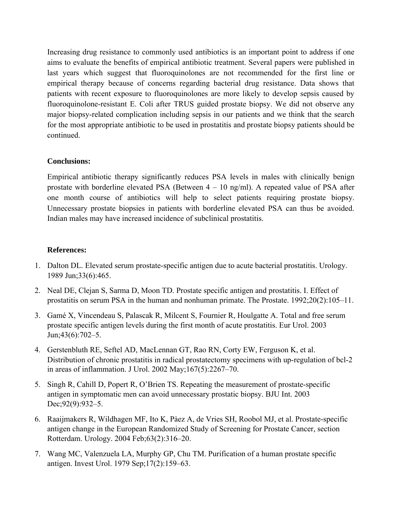Increasing drug resistance to commonly used antibiotics is an important point to address if one aims to evaluate the benefits of empirical antibiotic treatment. Several papers were published in last years which suggest that fluoroquinolones are not recommended for the first line or empirical therapy because of concerns regarding bacterial drug resistance. Data shows that patients with recent exposure to fluoroquinolones are more likely to develop sepsis caused by fluoroquinolone-resistant E. Coli after TRUS guided prostate biopsy. We did not observe any major biopsy-related complication including sepsis in our patients and we think that the search for the most appropriate antibiotic to be used in prostatitis and prostate biopsy patients should be continued.

## **Conclusions:**

Empirical antibiotic therapy significantly reduces PSA levels in males with clinically benign prostate with borderline elevated PSA (Between  $4 - 10$  ng/ml). A repeated value of PSA after one month course of antibiotics will help to select patients requiring prostate biopsy. Unnecessary prostate biopsies in patients with borderline elevated PSA can thus be avoided. Indian males may have increased incidence of subclinical prostatitis.

#### **References:**

- 1. Dalton DL. Elevated serum prostate-specific antigen due to acute bacterial prostatitis. Urology. 1989 Jun;33(6):465.
- 2. Neal DE, Clejan S, Sarma D, Moon TD. Prostate specific antigen and prostatitis. I. Effect of prostatitis on serum PSA in the human and nonhuman primate. The Prostate. 1992;20(2):105–11.
- 3. Gamé X, Vincendeau S, Palascak R, Milcent S, Fournier R, Houlgatte A. Total and free serum prostate specific antigen levels during the first month of acute prostatitis. Eur Urol. 2003 Jun;43(6):702–5.
- 4. Gerstenbluth RE, Seftel AD, MacLennan GT, Rao RN, Corty EW, Ferguson K, et al. Distribution of chronic prostatitis in radical prostatectomy specimens with up-regulation of bcl-2 in areas of inflammation. J Urol. 2002 May;167(5):2267–70.
- 5. Singh R, Cahill D, Popert R, O'Brien TS. Repeating the measurement of prostate-specific antigen in symptomatic men can avoid unnecessary prostatic biopsy. BJU Int. 2003 Dec; 92(9): 932–5.
- 6. Raaijmakers R, Wildhagen MF, Ito K, Pàez A, de Vries SH, Roobol MJ, et al. Prostate-specific antigen change in the European Randomized Study of Screening for Prostate Cancer, section Rotterdam. Urology. 2004 Feb;63(2):316–20.
- 7. Wang MC, Valenzuela LA, Murphy GP, Chu TM. Purification of a human prostate specific antigen. Invest Urol. 1979 Sep;17(2):159–63.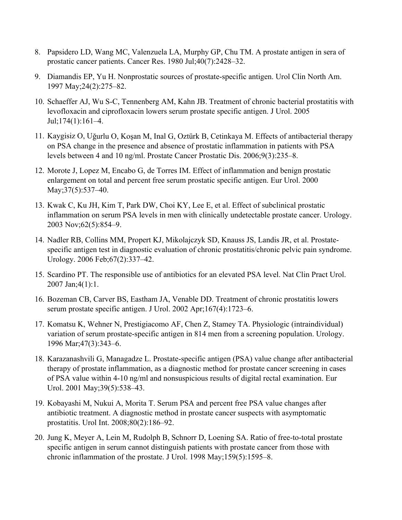- 8. Papsidero LD, Wang MC, Valenzuela LA, Murphy GP, Chu TM. A prostate antigen in sera of prostatic cancer patients. Cancer Res. 1980 Jul;40(7):2428–32.
- 9. Diamandis EP, Yu H. Nonprostatic sources of prostate-specific antigen. Urol Clin North Am. 1997 May;24(2):275–82.
- 10. Schaeffer AJ, Wu S-C, Tennenberg AM, Kahn JB. Treatment of chronic bacterial prostatitis with levofloxacin and ciprofloxacin lowers serum prostate specific antigen. J Urol. 2005 Jul;174(1):161–4.
- 11. Kaygisiz O, Uğurlu O, Koşan M, Inal G, Oztürk B, Cetinkaya M. Effects of antibacterial therapy on PSA change in the presence and absence of prostatic inflammation in patients with PSA levels between 4 and 10 ng/ml. Prostate Cancer Prostatic Dis. 2006;9(3):235–8.
- 12. Morote J, Lopez M, Encabo G, de Torres IM. Effect of inflammation and benign prostatic enlargement on total and percent free serum prostatic specific antigen. Eur Urol. 2000 May; 37(5): 537–40.
- 13. Kwak C, Ku JH, Kim T, Park DW, Choi KY, Lee E, et al. Effect of subclinical prostatic inflammation on serum PSA levels in men with clinically undetectable prostate cancer. Urology. 2003 Nov;62(5):854–9.
- 14. Nadler RB, Collins MM, Propert KJ, Mikolajczyk SD, Knauss JS, Landis JR, et al. Prostatespecific antigen test in diagnostic evaluation of chronic prostatitis/chronic pelvic pain syndrome. Urology. 2006 Feb;67(2):337–42.
- 15. Scardino PT. The responsible use of antibiotics for an elevated PSA level. Nat Clin Pract Urol. 2007 Jan;4(1):1.
- 16. Bozeman CB, Carver BS, Eastham JA, Venable DD. Treatment of chronic prostatitis lowers serum prostate specific antigen. J Urol. 2002 Apr;167(4):1723–6.
- 17. Komatsu K, Wehner N, Prestigiacomo AF, Chen Z, Stamey TA. Physiologic (intraindividual) variation of serum prostate-specific antigen in 814 men from a screening population. Urology. 1996 Mar;47(3):343–6.
- 18. Karazanashvili G, Managadze L. Prostate-specific antigen (PSA) value change after antibacterial therapy of prostate inflammation, as a diagnostic method for prostate cancer screening in cases of PSA value within 4-10 ng/ml and nonsuspicious results of digital rectal examination. Eur Urol. 2001 May;39(5):538–43.
- 19. Kobayashi M, Nukui A, Morita T. Serum PSA and percent free PSA value changes after antibiotic treatment. A diagnostic method in prostate cancer suspects with asymptomatic prostatitis. Urol Int. 2008;80(2):186–92.
- 20. Jung K, Meyer A, Lein M, Rudolph B, Schnorr D, Loening SA. Ratio of free-to-total prostate specific antigen in serum cannot distinguish patients with prostate cancer from those with chronic inflammation of the prostate. J Urol. 1998 May;159(5):1595–8.